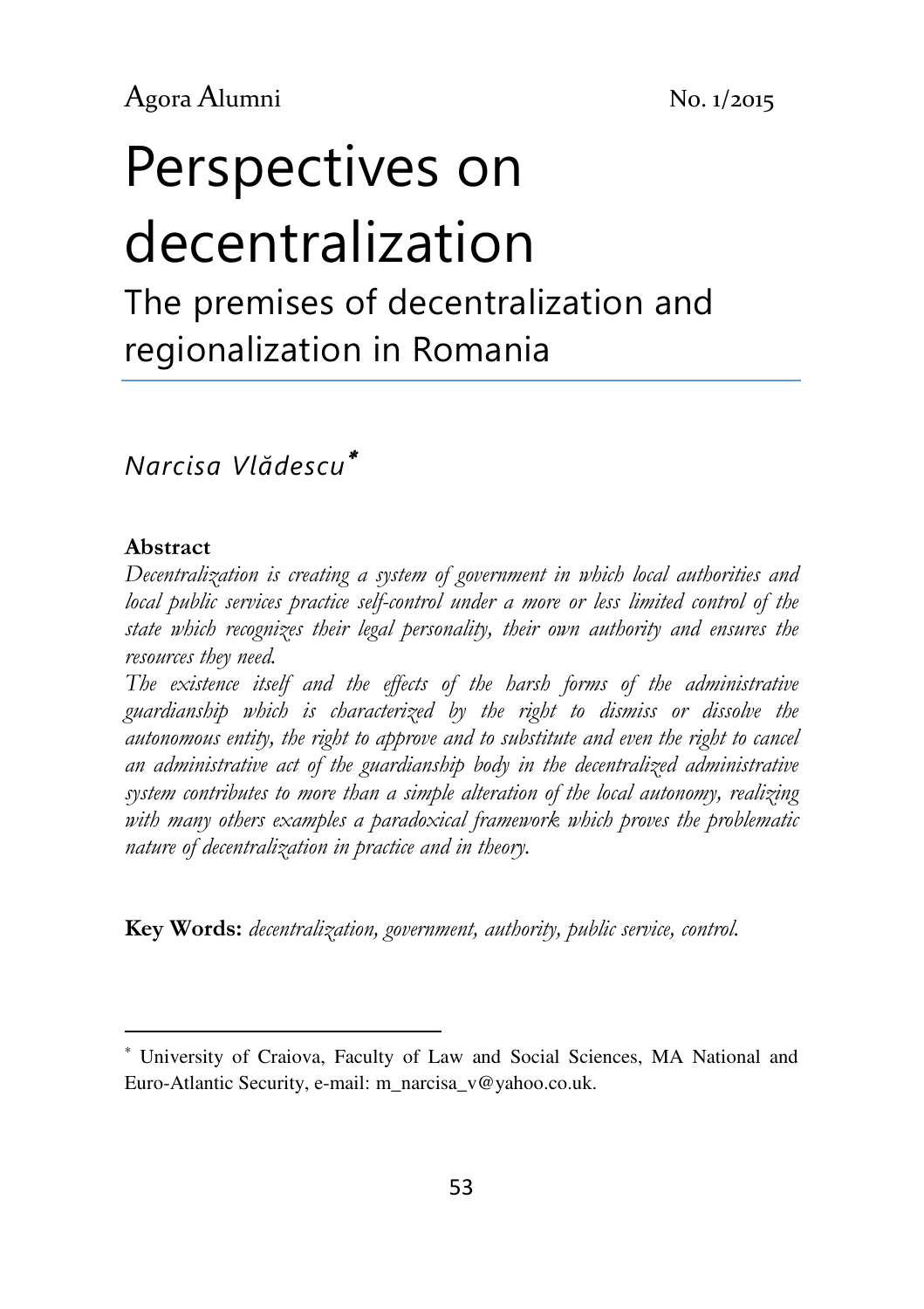# Perspectives on decentralization The premises of decentralization and

regionalization in Romania

# Narcisa Vlădescu<sup>∗</sup>

#### Abstract

l

Decentralization is creating a system of government in which local authorities and local public services practice self-control under a more or less limited control of the state which recognizes their legal personality, their own authority and ensures the resources they need.

The existence itself and the effects of the harsh forms of the administrative guardianship which is characterized by the right to dismiss or dissolve the autonomous entity, the right to approve and to substitute and even the right to cancel an administrative act of the guardianship body in the decentralized administrative system contributes to more than a simple alteration of the local autonomy, realizing with many others examples a paradoxical framework which proves the problematic nature of decentralization in practice and in theory.

**Key Words:** decentralization, government, authority, public service, control.

<sup>∗</sup> University of Craiova, Faculty of Law and Social Sciences, MA National and Euro-Atlantic Security, e-mail: m\_narcisa\_v@yahoo.co.uk.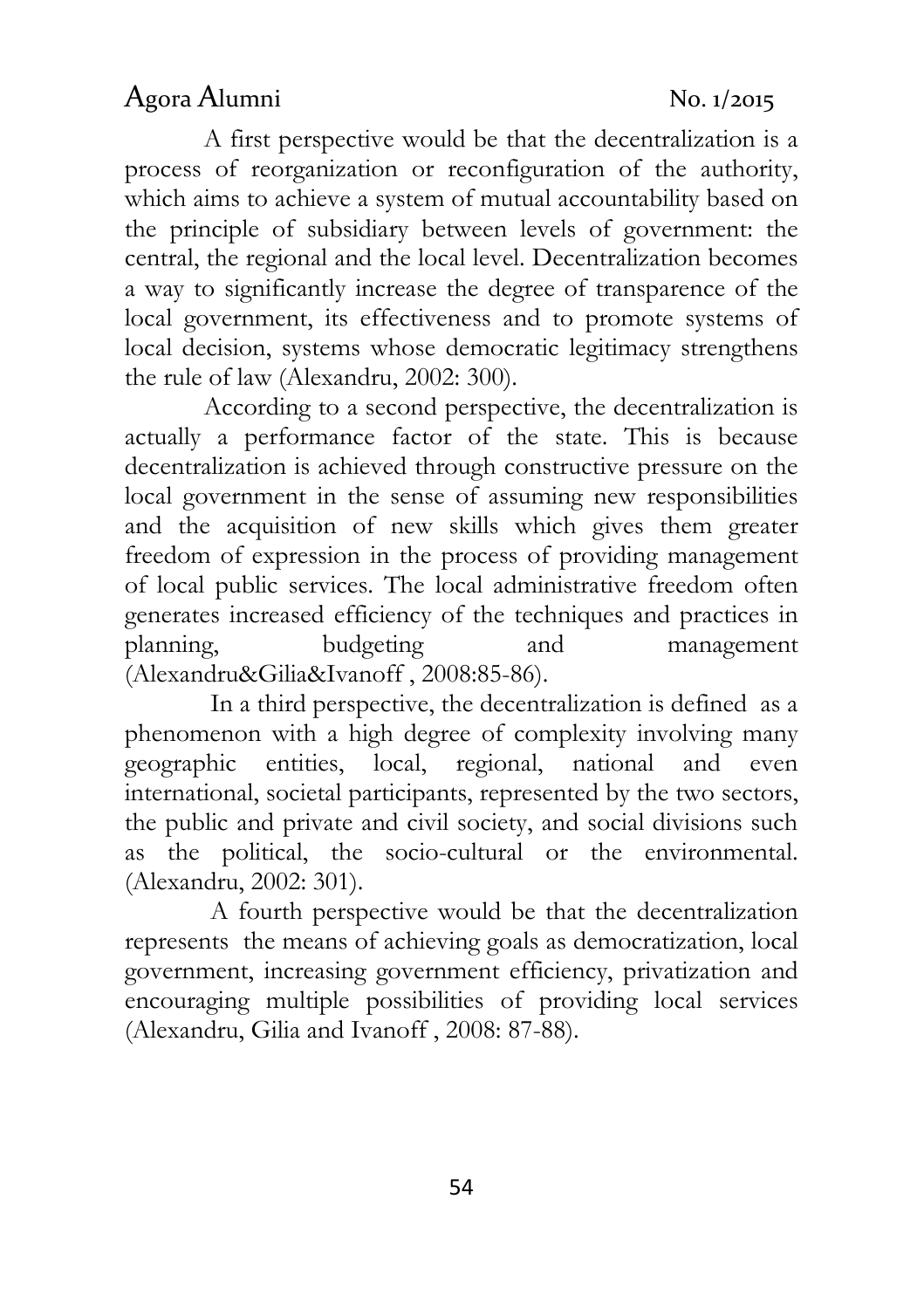# Agora Alumni No. 1/2015

A first perspective would be that the decentralization is a process of reorganization or reconfiguration of the authority, which aims to achieve a system of mutual accountability based on the principle of subsidiary between levels of government: the central, the regional and the local level. Decentralization becomes a way to significantly increase the degree of transparence of the local government, its effectiveness and to promote systems of local decision, systems whose democratic legitimacy strengthens the rule of law (Alexandru, 2002: 300).

According to a second perspective, the decentralization is actually a performance factor of the state. This is because decentralization is achieved through constructive pressure on the local government in the sense of assuming new responsibilities and the acquisition of new skills which gives them greater freedom of expression in the process of providing management of local public services. The local administrative freedom often generates increased efficiency of the techniques and practices in planning, budgeting and management (Alexandru&Gilia&Ivanoff , 2008:85-86).

 In a third perspective, the decentralization is defined as a phenomenon with a high degree of complexity involving many geographic entities, local, regional, national and even international, societal participants, represented by the two sectors, the public and private and civil society, and social divisions such as the political, the socio-cultural or the environmental. (Alexandru, 2002: 301).

 A fourth perspective would be that the decentralization represents the means of achieving goals as democratization, local government, increasing government efficiency, privatization and encouraging multiple possibilities of providing local services (Alexandru, Gilia and Ivanoff , 2008: 87-88).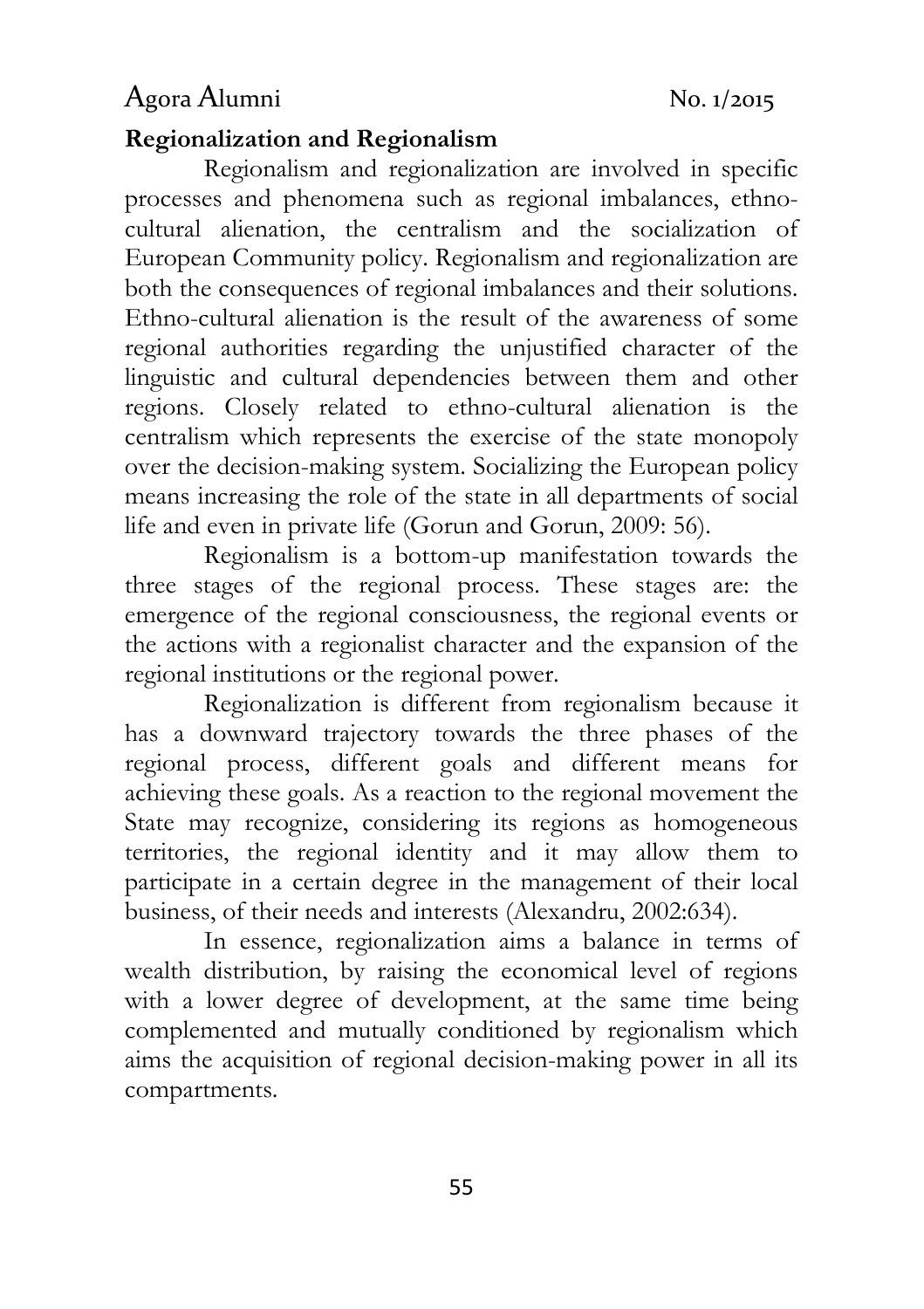# Agora Alumni No. 1/2015

## Regionalization and Regionalism

Regionalism and regionalization are involved in specific processes and phenomena such as regional imbalances, ethnocultural alienation, the centralism and the socialization of European Community policy. Regionalism and regionalization are both the consequences of regional imbalances and their solutions. Ethno-cultural alienation is the result of the awareness of some regional authorities regarding the unjustified character of the linguistic and cultural dependencies between them and other regions. Closely related to ethno-cultural alienation is the centralism which represents the exercise of the state monopoly over the decision-making system. Socializing the European policy means increasing the role of the state in all departments of social life and even in private life (Gorun and Gorun, 2009: 56).

Regionalism is a bottom-up manifestation towards the three stages of the regional process. These stages are: the emergence of the regional consciousness, the regional events or the actions with a regionalist character and the expansion of the regional institutions or the regional power.

Regionalization is different from regionalism because it has a downward trajectory towards the three phases of the regional process, different goals and different means for achieving these goals. As a reaction to the regional movement the State may recognize, considering its regions as homogeneous territories, the regional identity and it may allow them to participate in a certain degree in the management of their local business, of their needs and interests (Alexandru, 2002:634).

In essence, regionalization aims a balance in terms of wealth distribution, by raising the economical level of regions with a lower degree of development, at the same time being complemented and mutually conditioned by regionalism which aims the acquisition of regional decision-making power in all its compartments.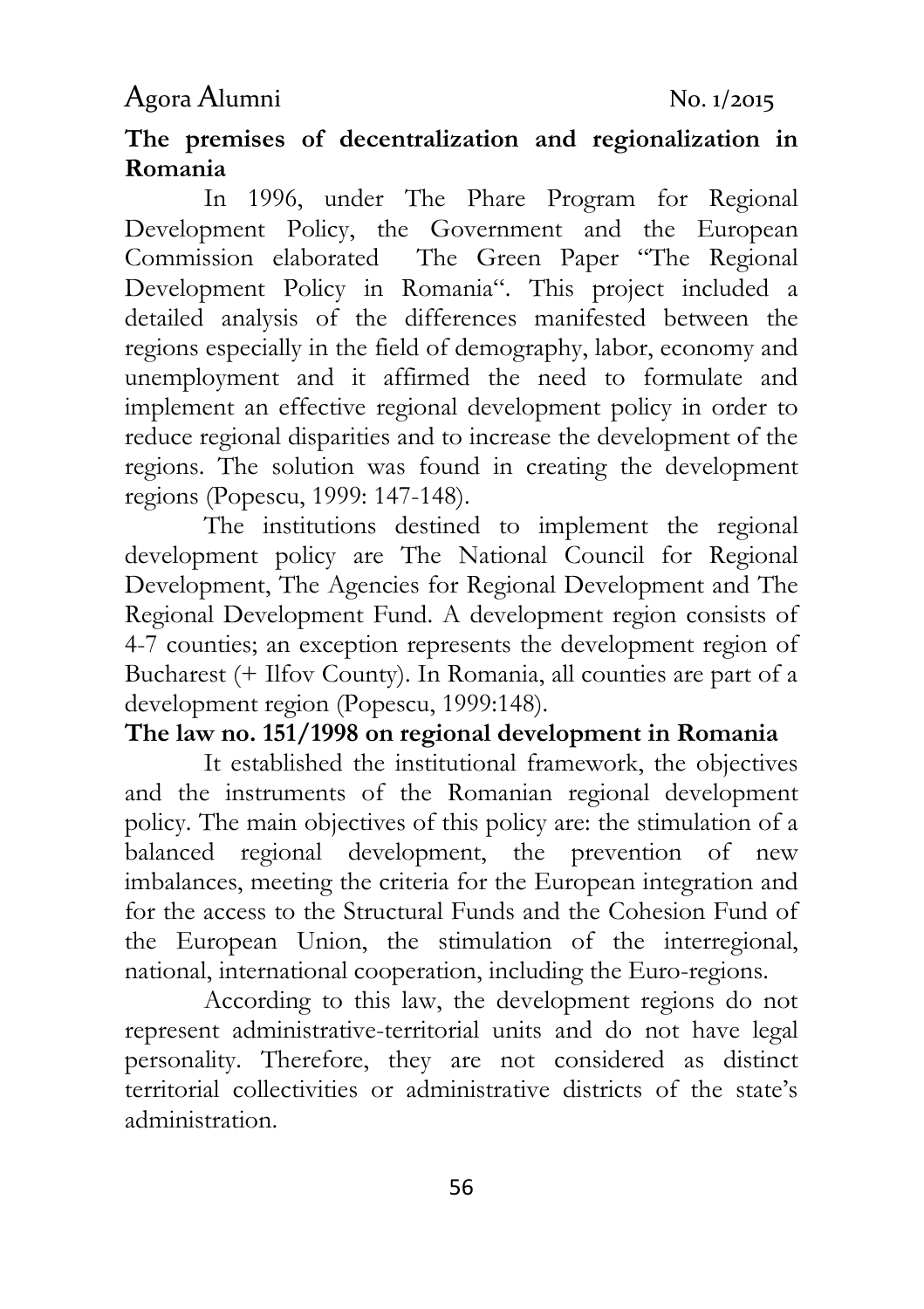# Agora Alumni No. 1/2015

## The premises of decentralization and regionalization in Romania

In 1996, under The Phare Program for Regional Development Policy, the Government and the European Commission elaborated The Green Paper "The Regional Development Policy in Romania". This project included a detailed analysis of the differences manifested between the regions especially in the field of demography, labor, economy and unemployment and it affirmed the need to formulate and implement an effective regional development policy in order to reduce regional disparities and to increase the development of the regions. The solution was found in creating the development regions (Popescu, 1999: 147-148).

The institutions destined to implement the regional development policy are The National Council for Regional Development, The Agencies for Regional Development and The Regional Development Fund. A development region consists of 4-7 counties; an exception represents the development region of Bucharest (+ Ilfov County). In Romania, all counties are part of a development region (Popescu, 1999:148).

## The law no. 151/1998 on regional development in Romania

It established the institutional framework, the objectives and the instruments of the Romanian regional development policy. The main objectives of this policy are: the stimulation of a balanced regional development, the prevention of new imbalances, meeting the criteria for the European integration and for the access to the Structural Funds and the Cohesion Fund of the European Union, the stimulation of the interregional, national, international cooperation, including the Euro-regions.

According to this law, the development regions do not represent administrative-territorial units and do not have legal personality. Therefore, they are not considered as distinct territorial collectivities or administrative districts of the state's administration.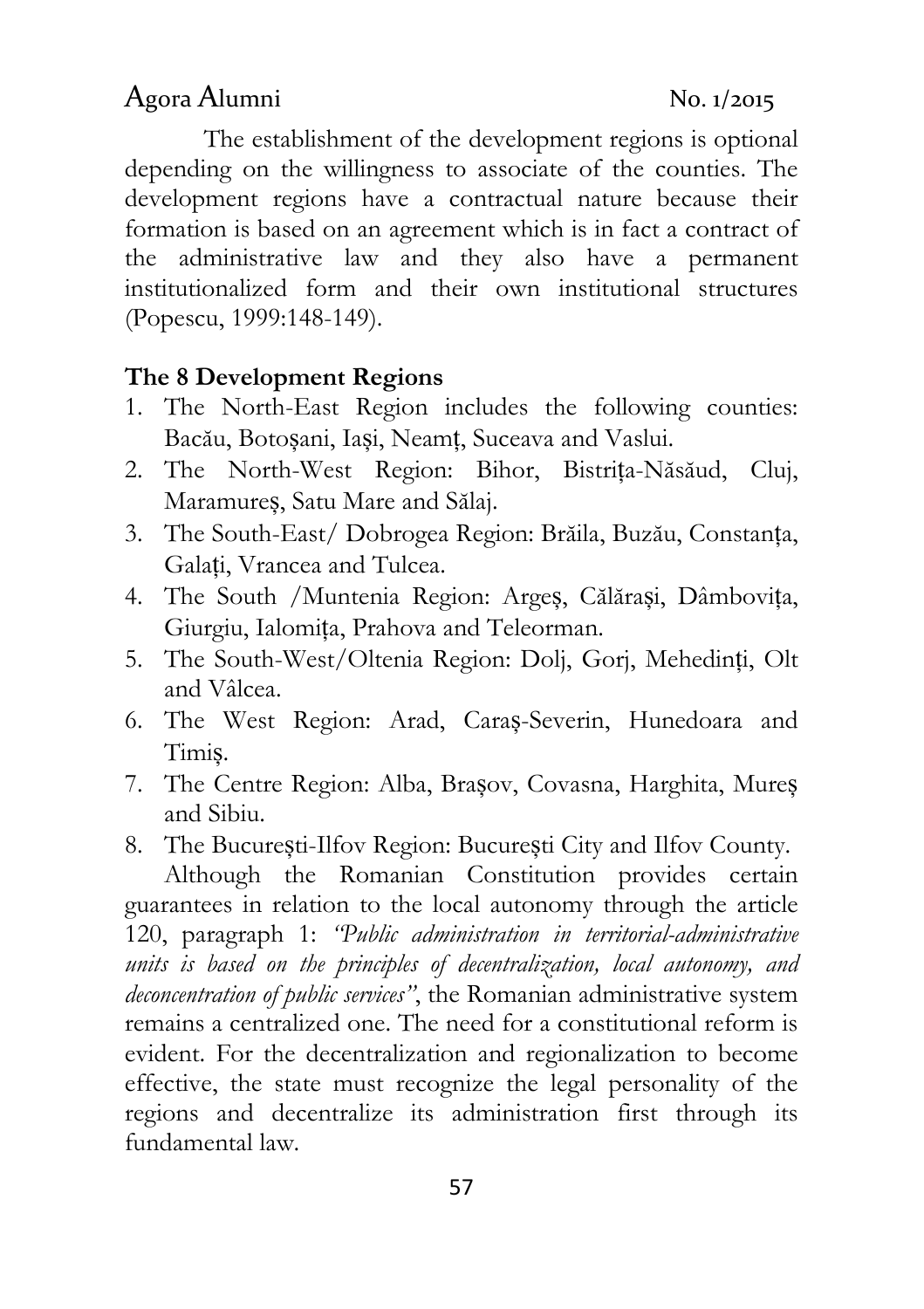#### (Popescu, 1999:148-149).

#### The 8 Development Regions

1. The North-East Region includes the following counties: Bacău, Botoșani, Iași, Neamț, Suceava and Vaslui.

The establishment of the development regions is optional

depending on the willingness to associate of the counties. The development regions have a contractual nature because their formation is based on an agreement which is in fact a contract of the administrative law and they also have a permanent institutionalized form and their own institutional structures

- 2. The North-West Region: Bihor, Bistrița-Năsăud, Cluj, Maramureș, Satu Mare and Sălaj.
- 3. The South-East/ Dobrogea Region: Brăila, Buzău, Constanța, Galați, Vrancea and Tulcea.
- 4. The South /Muntenia Region: Argeș, Călărași, Dâmbovița, Giurgiu, Ialomița, Prahova and Teleorman.
- 5. The South-West/Oltenia Region: Dolj, Gorj, Mehedinți, Olt and Vâlcea.
- 6. The West Region: Arad, Caraș-Severin, Hunedoara and Timiș.
- 7. The Centre Region: Alba, Brașov, Covasna, Harghita, Mureș and Sibiu.
- 8. The București-Ilfov Region: București City and Ilfov County.

Although the Romanian Constitution provides certain guarantees in relation to the local autonomy through the article 120, paragraph 1: "Public administration in territorial-administrative units is based on the principles of decentralization, local autonomy, and deconcentration of public services", the Romanian administrative system remains a centralized one. The need for a constitutional reform is evident. For the decentralization and regionalization to become effective, the state must recognize the legal personality of the regions and decentralize its administration first through its fundamental law.

57